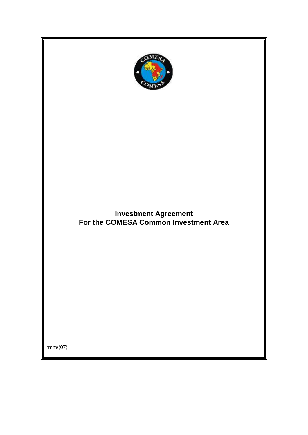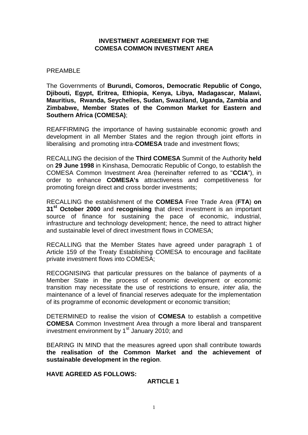#### **INVESTMENT AGREEMENT FOR THE COMESA COMMON INVESTMENT AREA**

#### PREAMBLE

The Governments of **Burundi, Comoros, Democratic Republic of Congo, Djibouti, Egypt, Eritrea, Ethiopia, Kenya, Libya, Madagascar, Malawi, Mauritius, Rwanda, Seychelles, Sudan, Swaziland, Uganda, Zambia and Zimbabwe, Member States of the Common Market for Eastern and Southern Africa (COMESA)**;

REAFFIRMING the importance of having sustainable economic growth and development in all Member States and the region through joint efforts in liberalising and promoting intra-**COMESA** trade and investment flows;

RECALLING the decision of the **Third COMESA** Summit of the Authority **held** on **29 June 1998** in Kinshasa, Democratic Republic of Congo, to establish the COMESA Common Investment Area (hereinafter referred to as "**CCIA**"), in order to enhance **COMESA's** attractiveness and competitiveness for promoting foreign direct and cross border investments;

RECALLING the establishment of the **COMESA** Free Trade Area (**FTA**) **on 31st October 2000** and **recognising** that direct investment is an important source of finance for sustaining the pace of economic, industrial, infrastructure and technology development; hence, the need to attract higher and sustainable level of direct investment flows in COMESA;

RECALLING that the Member States have agreed under paragraph 1 of Article 159 of the Treaty Establishing COMESA to encourage and facilitate private investment flows into COMESA;

RECOGNISING that particular pressures on the balance of payments of a Member State in the process of economic development or economic transition may necessitate the use of restrictions to ensure, *inter alia*, the maintenance of a level of financial reserves adequate for the implementation of its programme of economic development or economic transition;

DETERMINED to realise the vision of **COMESA** to establish a competitive **COMESA** Common Investment Area through a more liberal and transparent investment environment by  $1<sup>st</sup>$  January 2010; and

BEARING IN MIND that the measures agreed upon shall contribute towards **the realisation of the Common Market and the achievement of sustainable development in the region**.

**HAVE AGREED AS FOLLOWS:**

#### **ARTICLE 1**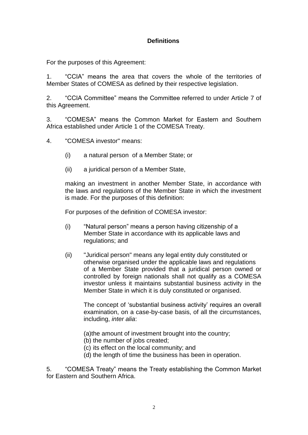# **Definitions**

For the purposes of this Agreement:

1. "CCIA" means the area that covers the whole of the territories of Member States of COMESA as defined by their respective legislation.

2. "CCIA Committee" means the Committee referred to under Article 7 of this Agreement.

3. "COMESA" means the Common Market for Eastern and Southern Africa established under Article 1 of the COMESA Treaty.

4. "COMESA investor" means:

- (i) a natural person of a Member State; or
- (ii) a juridical person of a Member State,

making an investment in another Member State, in accordance with the laws and regulations of the Member State in which the investment is made. For the purposes of this definition:

For purposes of the definition of COMESA investor:

- (i) "Natural person" means a person having citizenship of a Member State in accordance with its applicable laws and regulations; and
- (ii) "Juridical person" means any legal entity duly constituted or otherwise organised under the applicable laws and regulations of a Member State provided that a juridical person owned or controlled by foreign nationals shall not qualify as a COMESA investor unless it maintains substantial business activity in the Member State in which it is duly constituted or organised.

The concept of 'substantial business activity' requires an overall examination, on a case-by-case basis, of all the circumstances, including, *inter alia*:

(a)the amount of investment brought into the country;

- (b) the number of jobs created;
- (c) its effect on the local community; and
- (d) the length of time the business has been in operation.

5. "COMESA Treaty" means the Treaty establishing the Common Market for Eastern and Southern Africa.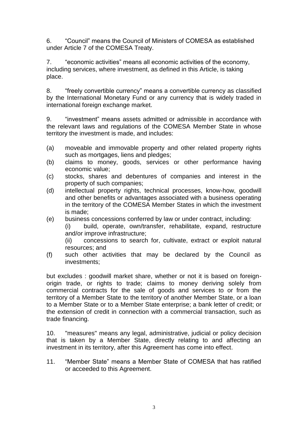6. "Council" means the Council of Ministers of COMESA as established under Article 7 of the COMESA Treaty.

7. "economic activities" means all economic activities of the economy, including services, where investment, as defined in this Article, is taking place.

8. "freely convertible currency" means a convertible currency as classified by the International Monetary Fund or any currency that is widely traded in international foreign exchange market.

9. "investment" means assets admitted or admissible in accordance with the relevant laws and regulations of the COMESA Member State in whose territory the investment is made, and includes:

- (a) moveable and immovable property and other related property rights such as mortgages, liens and pledges;
- (b) claims to money, goods, services or other performance having economic value;
- (c) stocks, shares and debentures of companies and interest in the property of such companies;
- (d) intellectual property rights, technical processes, know-how, goodwill and other benefits or advantages associated with a business operating in the territory of the COMESA Member States in which the investment is made;
- (e) business concessions conferred by law or under contract, including:

(i) build, operate, own/transfer, rehabilitate, expand, restructure and/or improve infrastructure;

(ii) concessions to search for, cultivate, extract or exploit natural resources; and

(f) such other activities that may be declared by the Council as investments;

but excludes : goodwill market share, whether or not it is based on foreignorigin trade, or rights to trade; claims to money deriving solely from commercial contracts for the sale of goods and services to or from the territory of a Member State to the territory of another Member State, or a loan to a Member State or to a Member State enterprise; a bank letter of credit; or the extension of credit in connection with a commercial transaction, such as trade financing.

10. "measures" means any legal, administrative, judicial or policy decision that is taken by a Member State, directly relating to and affecting an investment in its territory, after this Agreement has come into effect.

11. "Member State" means a Member State of COMESA that has ratified or acceeded to this Agreement.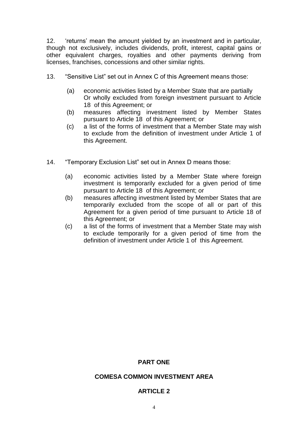12. 'returns' mean the amount yielded by an investment and in particular, though not exclusively, includes dividends, profit, interest, capital gains or other equivalent charges, royalties and other payments deriving from licenses, franchises, concessions and other similar rights.

- 13. "Sensitive List" set out in Annex C of this Agreement means those:
	- (a) economic activities listed by a Member State that are partially Or wholly excluded from foreign investment pursuant to Article 18 of this Agreement; or
	- (b) measures affecting investment listed by Member States pursuant to Article 18 of this Agreement; or
	- (c) a list of the forms of investment that a Member State may wish to exclude from the definition of investment under Article 1 of this Agreement.
- 14. "Temporary Exclusion List" set out in Annex D means those:
	- (a) economic activities listed by a Member State where foreign investment is temporarily excluded for a given period of time pursuant to Article 18 of this Agreement; or
	- (b) measures affecting investment listed by Member States that are temporarily excluded from the scope of all or part of this Agreement for a given period of time pursuant to Article 18 of this Agreement; or
	- (c) a list of the forms of investment that a Member State may wish to exclude temporarily for a given period of time from the definition of investment under Article 1 of this Agreement.

### **PART ONE**

#### **COMESA COMMON INVESTMENT AREA**

#### **ARTICLE 2**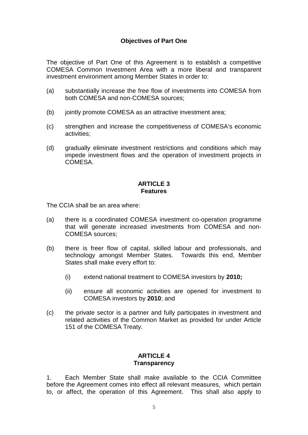## **Objectives of Part One**

The objective of Part One of this Agreement is to establish a competitive COMESA Common Investment Area with a more liberal and transparent investment environment among Member States in order to:

- (a) substantially increase the free flow of investments into COMESA from both COMESA and non-COMESA sources;
- (b) jointly promote COMESA as an attractive investment area;
- (c) strengthen and increase the competitiveness of COMESA's economic activities;
- (d) gradually eliminate investment restrictions and conditions which may impede investment flows and the operation of investment projects in **COMESA**

#### **ARTICLE 3 Features**

The CCIA shall be an area where:

- (a) there is a coordinated COMESA investment co-operation programme that will generate increased investments from COMESA and non-COMESA sources;
- (b) there is freer flow of capital, skilled labour and professionals, and technology amongst Member States. Towards this end, Member States shall make every effort to:
	- (i) extend national treatment to COMESA investors by **2010;**
	- (ii) ensure all economic activities are opened for investment to COMESA investors by **2010**; and
- (c) the private sector is a partner and fully participates in investment and related activities of the Common Market as provided for under Article 151 of the COMESA Treaty.

# **ARTICLE 4 Transparency**

1. Each Member State shall make available to the CCIA Committee before the Agreement comes into effect all relevant measures, which pertain to, or affect, the operation of this Agreement. This shall also apply to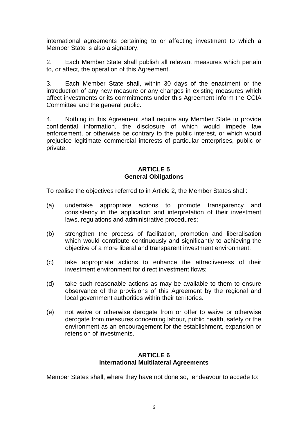international agreements pertaining to or affecting investment to which a Member State is also a signatory.

2. Each Member State shall publish all relevant measures which pertain to, or affect, the operation of this Agreement.

3. Each Member State shall, within 30 days of the enactment or the introduction of any new measure or any changes in existing measures which affect investments or its commitments under this Agreement inform the CCIA Committee and the general public.

4. Nothing in this Agreement shall require any Member State to provide confidential information, the disclosure of which would impede law enforcement, or otherwise be contrary to the public interest, or which would prejudice legitimate commercial interests of particular enterprises, public or private.

## **ARTICLE 5 General Obligations**

To realise the objectives referred to in Article 2, the Member States shall:

- (a) undertake appropriate actions to promote transparency and consistency in the application and interpretation of their investment laws, regulations and administrative procedures;
- (b) strengthen the process of facilitation, promotion and liberalisation which would contribute continuously and significantly to achieving the objective of a more liberal and transparent investment environment;
- (c) take appropriate actions to enhance the attractiveness of their investment environment for direct investment flows;
- (d) take such reasonable actions as may be available to them to ensure observance of the provisions of this Agreement by the regional and local government authorities within their territories.
- (e) not waive or otherwise derogate from or offer to waive or otherwise derogate from measures concerning labour, public health, safety or the environment as an encouragement for the establishment, expansion or retension of investments.

## **ARTICLE 6 International Multilateral Agreements**

Member States shall, where they have not done so, endeavour to accede to: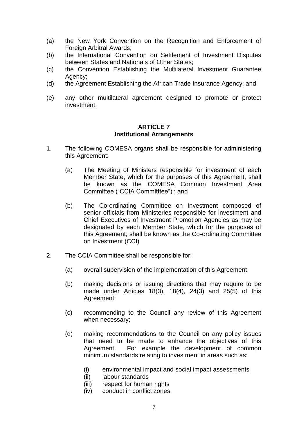- (a) the New York Convention on the Recognition and Enforcement of Foreign Arbitral Awards;
- (b) the International Convention on Settlement of Investment Disputes between States and Nationals of Other States;
- (c) the Convention Establishing the Multilateral Investment Guarantee Agency;
- (d) the Agreement Establishing the African Trade Insurance Agency; and
- (e) any other multilateral agreement designed to promote or protect investment.

#### **ARTICLE 7 Institutional Arrangements**

- 1. The following COMESA organs shall be responsible for administering this Agreement:
	- (a) The Meeting of Ministers responsible for investment of each Member State, which for the purposes of this Agreement, shall be known as the COMESA Common Investment Area Committee ("CCIA Committtee") ; and
	- (b) The Co-ordinating Committee on Investment composed of senior officials from Ministeries responsible for investment and Chief Executives of Investment Promotion Agencies as may be designated by each Member State, which for the purposes of this Agreement, shall be known as the Co-ordinating Committee on Investment (CCI)
- 2. The CCIA Committee shall be responsible for:
	- (a) overall supervision of the implementation of this Agreement;
	- (b) making decisions or issuing directions that may require to be made under Articles 18(3), 18(4), 24(3) and 25(5) of this Agreement;
	- (c) recommending to the Council any review of this Agreement when necessary;
	- (d) making recommendations to the Council on any policy issues that need to be made to enhance the objectives of this Agreement. For example the development of common minimum standards relating to investment in areas such as:
		- (i) environmental impact and social impact assessments
		- (ii) labour standards
		- (iii) respect for human rights
		- (iv) conduct in conflict zones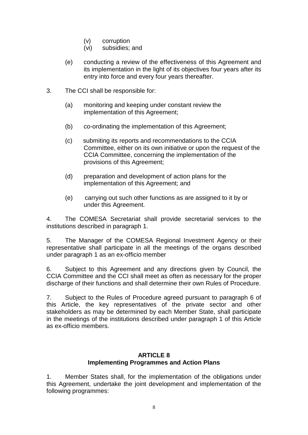- (v) corruption
- (vi) subsidies; and
- (e) conducting a review of the effectiveness of this Agreement and its implementation in the light of its objectives four years after its entry into force and every four years thereafter.
- 3. The CCI shall be responsible for:
	- (a) monitoring and keeping under constant review the implementation of this Agreement;
	- (b) co-ordinating the implementation of this Agreement;
	- (c) submiting its reports and recommendations to the CCIA Committee, either on its own initiative or upon the request of the CCIA Committee, concerning the implementation of the provisions of this Agreement;
	- (d) preparation and development of action plans for the implementation of this Agreement; and
	- (e) carrying out such other functions as are assigned to it by or under this Agreement.

4. The COMESA Secretariat shall provide secretarial services to the institutions described in paragraph 1.

5. The Manager of the COMESA Regional Investment Agency or their representative shall participate in all the meetings of the organs described under paragraph 1 as an ex-officio member

6. Subject to this Agreement and any directions given by Council, the CCIA Committee and the CCI shall meet as often as necessary for the proper discharge of their functions and shall determine their own Rules of Procedure.

7. Subject to the Rules of Procedure agreed pursuant to paragraph 6 of this Article, the key representatives of the private sector and other stakeholders as may be determined by each Member State, shall participate in the meetings of the institutions described under paragraph 1 of this Article as ex-officio members.

## **ARTICLE 8 Implementing Programmes and Action Plans**

1. Member States shall, for the implementation of the obligations under this Agreement, undertake the joint development and implementation of the following programmes: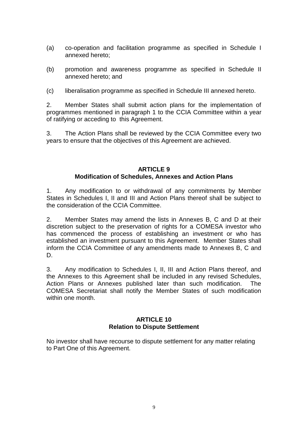- (a) co-operation and facilitation programme as specified in Schedule I annexed hereto;
- (b) promotion and awareness programme as specified in Schedule II annexed hereto; and
- (c) liberalisation programme as specified in Schedule III annexed hereto.

2. Member States shall submit action plans for the implementation of programmes mentioned in paragraph 1 to the CCIA Committee within a year of ratifying or acceding to this Agreement.

3. The Action Plans shall be reviewed by the CCIA Committee every two years to ensure that the objectives of this Agreement are achieved.

## **ARTICLE 9 Modification of Schedules, Annexes and Action Plans**

1. Any modification to or withdrawal of any commitments by Member States in Schedules I, II and III and Action Plans thereof shall be subject to the consideration of the CCIA Committee.

2. Member States may amend the lists in Annexes B, C and D at their discretion subject to the preservation of rights for a COMESA investor who has commenced the process of establishing an investment or who has established an investment pursuant to this Agreement. Member States shall inform the CCIA Committee of any amendments made to Annexes B, C and D.

3. Any modification to Schedules I, II, III and Action Plans thereof, and the Annexes to this Agreement shall be included in any revised Schedules, Action Plans or Annexes published later than such modification. The COMESA Secretariat shall notify the Member States of such modification within one month.

#### **ARTICLE 10 Relation to Dispute Settlement**

No investor shall have recourse to dispute settlement for any matter relating to Part One of this Agreement.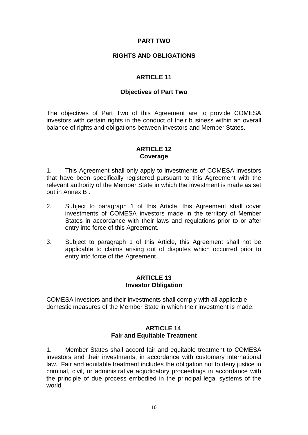## **PART TWO**

### **RIGHTS AND OBLIGATIONS**

## **ARTICLE 11**

#### **Objectives of Part Two**

The objectives of Part Two of this Agreement are to provide COMESA investors with certain rights in the conduct of their business within an overall balance of rights and obligations between investors and Member States.

### **ARTICLE 12 Coverage**

1. This Agreement shall only apply to investments of COMESA investors that have been specifically registered pursuant to this Agreement with the relevant authority of the Member State in which the investment is made as set out in Annex B .

- 2. Subject to paragraph 1 of this Article, this Agreement shall cover investments of COMESA investors made in the territory of Member States in accordance with their laws and regulations prior to or after entry into force of this Agreement.
- 3. Subject to paragraph 1 of this Article, this Agreement shall not be applicable to claims arising out of disputes which occurred prior to entry into force of the Agreement.

#### **ARTICLE 13 Investor Obligation**

COMESA investors and their investments shall comply with all applicable domestic measures of the Member State in which their investment is made.

#### **ARTICLE 14 Fair and Equitable Treatment**

1. Member States shall accord fair and equitable treatment to COMESA investors and their investments, in accordance with customary international law. Fair and equitable treatment includes the obligation not to deny justice in criminal, civil, or administrative adjudicatory proceedings in accordance with the principle of due process embodied in the principal legal systems of the world.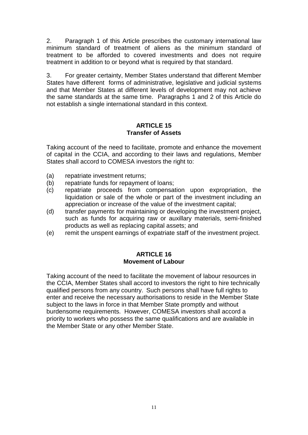2. Paragraph 1 of this Article prescribes the customary international law minimum standard of treatment of aliens as the minimum standard of treatment to be afforded to covered investments and does not require treatment in addition to or beyond what is required by that standard.

3. For greater certainty, Member States understand that different Member States have different forms of administrative, legislative and judicial systems and that Member States at different levels of development may not achieve the same standards at the same time. Paragraphs 1 and 2 of this Article do not establish a single international standard in this context.

### **ARTICLE 15 Transfer of Assets**

Taking account of the need to facilitate, promote and enhance the movement of capital in the CCIA, and according to their laws and regulations, Member States shall accord to COMESA investors the right to:

- (a) repatriate investment returns;
- (b) repatriate funds for repayment of loans;
- (c) repatriate proceeds from compensation upon expropriation, the liquidation or sale of the whole or part of the investment including an appreciation or increase of the value of the investment capital;
- (d) transfer payments for maintaining or developing the investment project, such as funds for acquiring raw or auxillary materials, semi-finished products as well as replacing capital assets; and
- (e) remit the unspent earnings of expatriate staff of the investment project.

# **ARTICLE 16 Movement of Labour**

Taking account of the need to facilitate the movement of labour resources in the CCIA, Member States shall accord to investors the right to hire technically qualified persons from any country. Such persons shall have full rights to enter and receive the necessary authorisations to reside in the Member State subject to the laws in force in that Member State promptly and without burdensome requirements. However, COMESA investors shall accord a priority to workers who possess the same qualifications and are available in the Member State or any other Member State.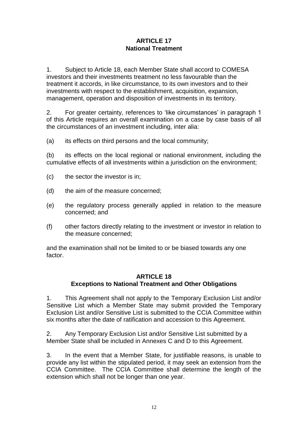## **ARTICLE 17 National Treatment**

1. Subject to Article 18, each Member State shall accord to COMESA investors and their investments treatment no less favourable than the treatment it accords, in like circumstance, to its own investors and to their investments with respect to the establishment, acquisition, expansion, management, operation and disposition of investments in its territory.

2. For greater certainty, references to 'like circumstances' in paragraph 1 of this Article requires an overall examination on a case by case basis of all the circumstances of an investment including, inter alia:

(a) its effects on third persons and the local community;

(b) its effects on the local regional or national environment, including the cumulative effects of all investments within a jurisdiction on the environment;

- (c) the sector the investor is in;
- (d) the aim of the measure concerned;
- (e) the regulatory process generally applied in relation to the measure concerned; and
- (f) other factors directly relating to the investment or investor in relation to the measure concerned;

and the examination shall not be limited to or be biased towards any one factor.

## **ARTICLE 18 Exceptions to National Treatment and Other Obligations**

1. This Agreement shall not apply to the Temporary Exclusion List and/or Sensitive List which a Member State may submit provided the Temporary Exclusion List and/or Sensitive List is submitted to the CCIA Committee within six months after the date of ratification and accession to this Agreement.

2. Any Temporary Exclusion List and/or Sensitive List submitted by a Member State shall be included in Annexes C and D to this Agreement.

3. In the event that a Member State, for justifiable reasons, is unable to provide any list within the stipulated period, it may seek an extension from the CCIA Committee. The CCIA Committee shall determine the length of the extension which shall not be longer than one year.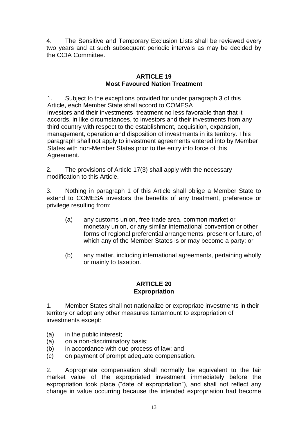4. The Sensitive and Temporary Exclusion Lists shall be reviewed every two years and at such subsequent periodic intervals as may be decided by the CCIA Committee.

## **ARTICLE 19 Most Favoured Nation Treatment**

1. Subject to the exceptions provided for under paragraph 3 of this Article, each Member State shall accord to COMESA investors and their investments treatment no less favorable than that it accords, in like circumstances, to investors and their investments from any third country with respect to the establishment, acquisition, expansion, management, operation and disposition of investments in its territory. This paragraph shall not apply to investment agreements entered into by Member States with non-Member States prior to the entry into force of this Agreement.

2. The provisions of Article 17(3) shall apply with the necessary modification to this Article.

3. Nothing in paragraph 1 of this Article shall oblige a Member State to extend to COMESA investors the benefits of any treatment, preference or privilege resulting from:

- (a) any customs union, free trade area, common market or monetary union, or any similar international convention or other forms of regional preferential arrangements, present or future, of which any of the Member States is or may become a party; or
- (b) any matter, including international agreements, pertaining wholly or mainly to taxation.

## **ARTICLE 20 Expropriation**

1. Member States shall not nationalize or expropriate investments in their territory or adopt any other measures tantamount to expropriation of investments except:

- (a) in the public interest;
- (a) on a non-discriminatory basis;
- (b) in accordance with due process of law; and
- (c) on payment of prompt adequate compensation.

2. Appropriate compensation shall normally be equivalent to the fair market value of the expropriated investment immediately before the expropriation took place ("date of expropriation"), and shall not reflect any change in value occurring because the intended expropriation had become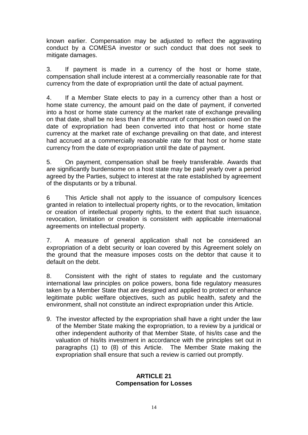known earlier. Compensation may be adjusted to reflect the aggravating conduct by a COMESA investor or such conduct that does not seek to mitigate damages.

3. If payment is made in a currency of the host or home state, compensation shall include interest at a commercially reasonable rate for that currency from the date of expropriation until the date of actual payment.

4. If a Member State elects to pay in a currency other than a host or home state currency, the amount paid on the date of payment, if converted into a host or home state currency at the market rate of exchange prevailing on that date, shall be no less than if the amount of compensation owed on the date of expropriation had been converted into that host or home state currency at the market rate of exchange prevailing on that date, and interest had accrued at a commercially reasonable rate for that host or home state currency from the date of expropriation until the date of payment.

5. On payment, compensation shall be freely transferable. Awards that are significantly burdensome on a host state may be paid yearly over a period agreed by the Parties, subject to interest at the rate established by agreement of the disputants or by a tribunal.

6 This Article shall not apply to the issuance of compulsory licences granted in relation to intellectual property rights, or to the revocation, limitation or creation of intellectual property rights, to the extent that such issuance, revocation, limitation or creation is consistent with applicable international agreements on intellectual property.

7. A measure of general application shall not be considered an expropriation of a debt security or loan covered by this Agreement solely on the ground that the measure imposes costs on the debtor that cause it to default on the debt.

8. Consistent with the right of states to regulate and the customary international law principles on police powers, bona fide regulatory measures taken by a Member State that are designed and applied to protect or enhance legitimate public welfare objectives, such as public health, safety and the environment, shall not constitute an indirect expropriation under this Article.

9. The investor affected by the expropriation shall have a right under the law of the Member State making the expropriation, to a review by a juridical or other independent authority of that Member State, of his/its case and the valuation of his/its investment in accordance with the principles set out in paragraphs (1) to (8) of this Article. The Member State making the expropriation shall ensure that such a review is carried out promptly.

#### **ARTICLE 21 Compensation for Losses**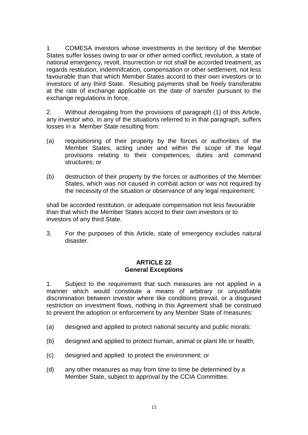1 COMESA investors whose investments in the territory of the Member States suffer losses owing to war or other armed conflict, revolution, a state of national emergency, revolt, insurrection or riot shall be accorded treatment, as regards restitution, indemnifcation, compensation or other settlement, not less favourable than that which Member States accord to their own investors or to investors of any third State. Resulting payments shall be freely transferable at the rate of exchange applicable on the date of transfer pursuant to the exchange regulations in force.

2. Without derogating from the provisions of paragraph (1) of this Article, any investor who, in any of the situations referred to in that paragraph, suffers losses in a Member State resulting from:

- (a) requisitioning of their property by the forces or authorities of the Member States, acting under and within the scope of the legal provisions relating to their competences, duties and command structures; or
- (b) destruction of their property by the forces or authorities of the Member States, which was not caused in combat action or was not required by the necessity of the situation or observance of any legal requirement;

shall be accorded restitution, or adequate compensation not less favourable than that which the Member States accord to their own investors or to investors of any third State.

3. For the purposes of this Article, state of emergency excludes natural disaster.

#### **ARTICLE 22 General Exceptions**

1. Subject to the requirement that such measures are not applied in a manner which would constitute a means of arbitrary or unjustifiable discrimination between investor where like conditions prevail, or a disguised restriction on investment flows, nothing in this Agreement shall be construed to prevent the adoption or enforcement by any Member State of measures:

- (a) designed and applied to protect national security and public morals;
- (b) designed and applied to protect human, animal or plant life or health;
- (c) designed and applied to protect the environment; or
- (d) any other measures as may from time to time be determined by a Member State, subject to approval by the CCIA Committee.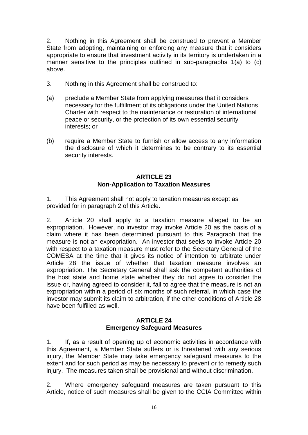2. Nothing in this Agreement shall be construed to prevent a Member State from adopting, maintaining or enforcing any measure that it considers appropriate to ensure that investment activity in its territory is undertaken in a manner sensitive to the principles outlined in sub-paragraphs 1(a) to (c) above.

- 3. Nothing in this Agreement shall be construed to:
- (a) preclude a Member State from applying measures that it considers necessary for the fulfillment of its obligations under the United Nations Charter with respect to the maintenance or restoration of international peace or security, or the protection of its own essential security interests; or
- (b) require a Member State to furnish or allow access to any information the disclosure of which it determines to be contrary to its essential security interests.

### **ARTICLE 23 Non-Application to Taxation Measures**

1. This Agreement shall not apply to taxation measures except as provided for in paragraph 2 of this Article.

2. Article 20 shall apply to a taxation measure alleged to be an expropriation. However, no investor may invoke Article 20 as the basis of a claim where it has been determined pursuant to this Paragraph that the measure is not an expropriation. An investor that seeks to invoke Article 20 with respect to a taxation measure must refer to the Secretary General of the COMESA at the time that it gives its notice of intention to arbitrate under Article 28 the issue of whether that taxation measure involves an expropriation. The Secretary General shall ask the competent authorities of the host state and home state whether they do not agree to consider the issue or, having agreed to consider it, fail to agree that the measure is not an expropriation within a period of six months of such referral, in which case the investor may submit its claim to arbitration, if the other conditions of Article 28 have been fulfilled as well.

#### **ARTICLE 24 Emergency Safeguard Measures**

1. If, as a result of opening up of economic activities in accordance with this Agreement, a Member State suffers or is threatened with any serious injury, the Member State may take emergency safeguard measures to the extent and for such period as may be necessary to prevent or to remedy such injury. The measures taken shall be provisional and without discrimination.

2. Where emergency safeguard measures are taken pursuant to this Article, notice of such measures shall be given to the CCIA Committee within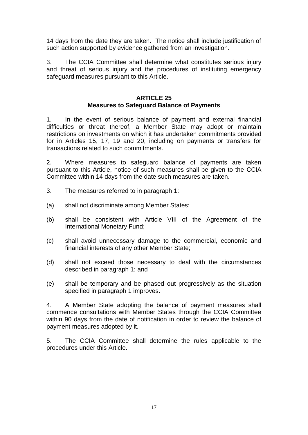14 days from the date they are taken. The notice shall include justification of such action supported by evidence gathered from an investigation.

3. The CCIA Committee shall determine what constitutes serious injury and threat of serious injury and the procedures of instituting emergency safeguard measures pursuant to this Article.

## **ARTICLE 25 Measures to Safeguard Balance of Payments**

1. In the event of serious balance of payment and external financial difficulties or threat thereof, a Member State may adopt or maintain restrictions on investments on which it has undertaken commitments provided for in Articles 15, 17, 19 and 20, including on payments or transfers for transactions related to such commitments.

2. Where measures to safeguard balance of payments are taken pursuant to this Article, notice of such measures shall be given to the CCIA Committee within 14 days from the date such measures are taken.

- 3. The measures referred to in paragraph 1:
- (a) shall not discriminate among Member States;
- (b) shall be consistent with Article VIII of the Agreement of the International Monetary Fund;
- (c) shall avoid unnecessary damage to the commercial, economic and financial interests of any other Member State;
- (d) shall not exceed those necessary to deal with the circumstances described in paragraph 1; and
- (e) shall be temporary and be phased out progressively as the situation specified in paragraph 1 improves.

4. A Member State adopting the balance of payment measures shall commence consultations with Member States through the CCIA Committee within 90 days from the date of notification in order to review the balance of payment measures adopted by it.

5. The CCIA Committee shall determine the rules applicable to the procedures under this Article.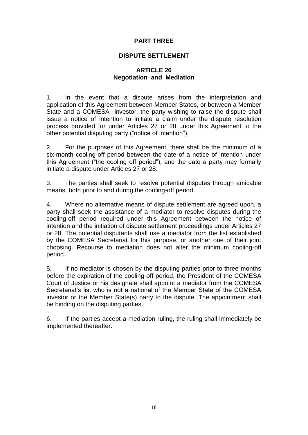### **PART THREE**

### **DISPUTE SETTLEMENT**

## **ARTICLE 26 Negotiation and Mediation**

1. In the event that a dispute arises from the interpretation and application of this Agreement between Member States, or between a Member State and a COMESA investor, the party wishing to raise the dispute shall issue a notice of intention to initiate a claim under the dispute resolution process provided for under Articles 27 or 28 under this Agreement to the other potential disputing party ("notice of intention").

2. For the purposes of this Agreement, there shall be the minimum of a six-month cooling-off period between the date of a notice of intention under this Agreement ("the cooling off period"), and the date a party may formally initiate a dispute under Articles 27 or 28.

3. The parties shall seek to resolve potential disputes through amicable means, both prior to and during the cooling-off period.

4. Where no alternative means of dispute settlement are agreed upon, a party shall seek the assistance of a mediator to resolve disputes during the cooling-off period required under this Agreement between the notice of intention and the initiation of dispute settlement proceedings under Articles 27 or 28. The potential disputants shall use a mediator from the list established by the COMESA Secretariat for this purpose, or another one of their joint choosing. Recourse to mediation does not alter the minimum cooling-off period.

5. If no mediator is chosen by the disputing parties prior to three months before the expiration of the cooling-off period, the President of the COMESA Court of Justice or his designate shall appoint a mediator from the COMESA Secretariat's list who is not a national of the Member State of the COMESA investor or the Member State(s) party to the dispute. The appointment shall be binding on the disputing parties.

6. If the parties accept a mediation ruling, the ruling shall immediately be implemented thereafter.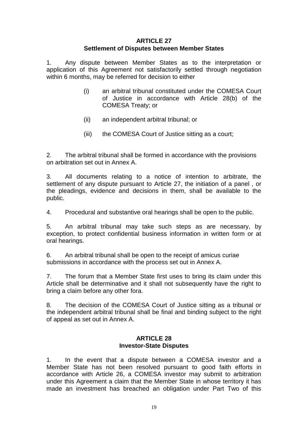#### **ARTICLE 27 Settlement of Disputes between Member States**

1. Any dispute between Member States as to the interpretation or application of this Agreement not satisfactorily settled through negotiation within 6 months, may be referred for decision to either

- (i) an arbitral tribunal constituted under the COMESA Court of Justice in accordance with Article 28(b) of the COMESA Treaty; or
- (ii) an independent arbitral tribunal; or
- (iii) the COMESA Court of Justice sitting as a court;

2. The arbitral tribunal shall be formed in accordance with the provisions on arbitration set out in Annex A.

3. All documents relating to a notice of intention to arbitrate, the settlement of any dispute pursuant to Article 27, the initiation of a panel , or the pleadings, evidence and decisions in them, shall be available to the public.

4. Procedural and substantive oral hearings shall be open to the public.

5. An arbitral tribunal may take such steps as are necessary, by exception, to protect confidential business information in written form or at oral hearings.

6. An arbitral tribunal shall be open to the receipt of amicus curiae submissions in accordance with the process set out in Annex A.

7. The forum that a Member State first uses to bring its claim under this Article shall be determinative and it shall not subsequently have the right to bring a claim before any other fora.

8. The decision of the COMESA Court of Justice sitting as a tribunal or the independent arbitral tribunal shall be final and binding subject to the right of appeal as set out in Annex A.

#### **ARTICLE 28 Investor-State Disputes**

1. In the event that a dispute between a COMESA investor and a Member State has not been resolved pursuant to good faith efforts in accordance with Article 26, a COMESA investor may submit to arbitration under this Agreement a claim that the Member State in whose territory it has made an investment has breached an obligation under Part Two of this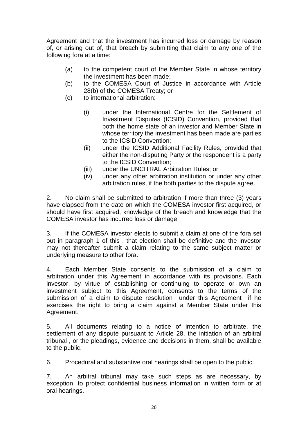Agreement and that the investment has incurred loss or damage by reason of, or arising out of, that breach by submitting that claim to any one of the following fora at a time:

- (a) to the competent court of the Member State in whose territory the investment has been made;
- (b) to the COMESA Court of Justice in accordance with Article 28(b) of the COMESA Treaty; or
- (c) to international arbitration:
	- (i) under the International Centre for the Settlement of Investment Disputes (ICSID) Convention, provided that both the home state of an investor and Member State in whose territory the investment has been made are parties to the ICSID Convention;
	- (ii) under the ICSID Additional Facility Rules, provided that either the non-disputing Party or the respondent is a party to the ICSID Convention;
	- (iii) under the UNCITRAL Arbitration Rules; or
	- (iv) under any other arbitration institution or under any other arbitration rules, if the both parties to the dispute agree.

2. No claim shall be submitted to arbitration if more than three (3) years have elapsed from the date on which the COMESA investor first acquired, or should have first acquired, knowledge of the breach and knowledge that the COMESA investor has incurred loss or damage.

3. If the COMESA investor elects to submit a claim at one of the fora set out in paragraph 1 of this , that election shall be definitive and the investor may not thereafter submit a claim relating to the same subject matter or underlying measure to other fora.

4. Each Member State consents to the submission of a claim to arbitration under this Agreement in accordance with its provisions. Each investor, by virtue of establishing or continuing to operate or own an investment subject to this Agreement, consents to the terms of the submission of a claim to dispute resolution under this Agreement if he exercises the right to bring a claim against a Member State under this Agreement.

5. All documents relating to a notice of intention to arbitrate, the settlement of any dispute pursuant to Article 28, the initiation of an arbitral tribunal , or the pleadings, evidence and decisions in them, shall be available to the public.

6. Procedural and substantive oral hearings shall be open to the public.

7. An arbitral tribunal may take such steps as are necessary, by exception, to protect confidential business information in written form or at oral hearings.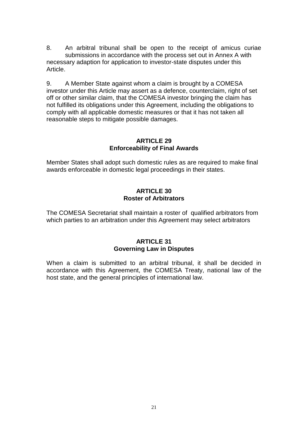8. An arbitral tribunal shall be open to the receipt of amicus curiae submissions in accordance with the process set out in Annex A with necessary adaption for application to investor-state disputes under this Article.

9. A Member State against whom a claim is brought by a COMESA investor under this Article may assert as a defence, counterclaim, right of set off or other similar claim, that the COMESA investor bringing the claim has not fulfilled its obligations under this Agreement, including the obligations to comply with all applicable domestic measures or that it has not taken all reasonable steps to mitigate possible damages.

### **ARTICLE 29 Enforceability of Final Awards**

Member States shall adopt such domestic rules as are required to make final awards enforceable in domestic legal proceedings in their states.

## **ARTICLE 30 Roster of Arbitrators**

The COMESA Secretariat shall maintain a roster of qualified arbitrators from which parties to an arbitration under this Agreement may select arbitrators

# **ARTICLE 31 Governing Law in Disputes**

When a claim is submitted to an arbitral tribunal, it shall be decided in accordance with this Agreement, the COMESA Treaty, national law of the host state, and the general principles of international law.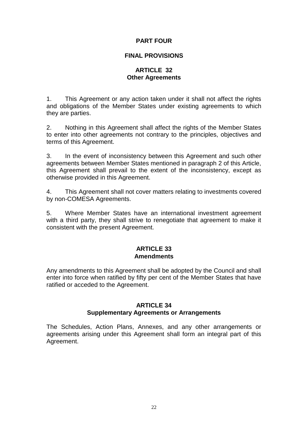## **PART FOUR**

### **FINAL PROVISIONS**

## **ARTICLE 32 Other Agreements**

1. This Agreement or any action taken under it shall not affect the rights and obligations of the Member States under existing agreements to which they are parties.

2. Nothing in this Agreement shall affect the rights of the Member States to enter into other agreements not contrary to the principles, objectives and terms of this Agreement.

3. In the event of inconsistency between this Agreement and such other agreements between Member States mentioned in paragraph 2 of this Article, this Agreement shall prevail to the extent of the inconsistency, except as otherwise provided in this Agreement.

4. This Agreement shall not cover matters relating to investments covered by non-COMESA Agreements.

5. Where Member States have an international investment agreement with a third party, they shall strive to renegotiate that agreement to make it consistent with the present Agreement.

#### **ARTICLE 33 Amendments**

Any amendments to this Agreement shall be adopted by the Council and shall enter into force when ratified by fifty per cent of the Member States that have ratified or acceded to the Agreement.

#### **ARTICLE 34**

#### **Supplementary Agreements or Arrangements**

The Schedules, Action Plans, Annexes, and any other arrangements or agreements arising under this Agreement shall form an integral part of this Agreement.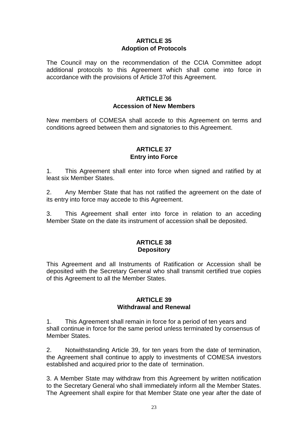#### **ARTICLE 35 Adoption of Protocols**

The Council may on the recommendation of the CCIA Committee adopt additional protocols to this Agreement which shall come into force in accordance with the provisions of Article 37of this Agreement.

#### **ARTICLE 36 Accession of New Members**

New members of COMESA shall accede to this Agreement on terms and conditions agreed between them and signatories to this Agreement.

### **ARTICLE 37 Entry into Force**

1. This Agreement shall enter into force when signed and ratified by at least six Member States.

2. Any Member State that has not ratified the agreement on the date of its entry into force may accede to this Agreement.

3. This Agreement shall enter into force in relation to an acceding Member State on the date its instrument of accession shall be deposited.

#### **ARTICLE 38 Depository**

This Agreement and all Instruments of Ratification or Accession shall be deposited with the Secretary General who shall transmit certified true copies of this Agreement to all the Member States.

#### **ARTICLE 39 Withdrawal and Renewal**

1. This Agreement shall remain in force for a period of ten years and shall continue in force for the same period unless terminated by consensus of Member States.

2. Notwithstanding Article 39, for ten years from the date of termination, the Agreement shall continue to apply to investments of COMESA investors established and acquired prior to the date of termination.

3. A Member State may withdraw from this Agreement by written notification to the Secretary General who shall immediately inform all the Member States. The Agreement shall expire for that Member State one year after the date of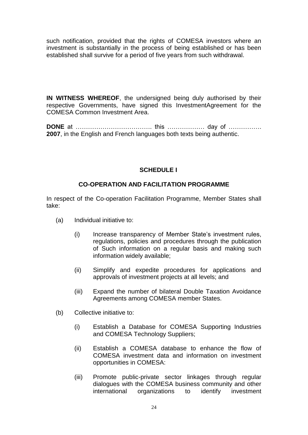such notification, provided that the rights of COMESA investors where an investment is substantially in the process of being established or has been established shall survive for a period of five years from such withdrawal.

**IN WITNESS WHEREOF,** the undersigned being duly authorised by their respective Governments, have signed this InvestmentAgreement for the COMESA Common Investment Area.

**DONE** at ………………………………. this ……………… day of ……………. **2007**, in the English and French languages both texts being authentic.

# **SCHEDULE I**

## **CO-OPERATION AND FACILITATION PROGRAMME**

In respect of the Co-operation Facilitation Programme, Member States shall take:

- (a) Individual initiative to:
	- (i) Increase transparency of Member State's investment rules, regulations, policies and procedures through the publication of Such information on a regular basis and making such information widely available;
	- (ii) Simplify and expedite procedures for applications and approvals of investment projects at all levels; and
	- (iii) Expand the number of bilateral Double Taxation Avoidance Agreements among COMESA member States.
- (b) Collective initiative to:
	- (i) Establish a Database for COMESA Supporting Industries and COMESA Technology Suppliers;
	- (ii) Establish a COMESA database to enhance the flow of COMESA investment data and information on investment opportunities in COMESA:
	- (iii) Promote public-private sector linkages through regular dialogues with the COMESA business community and other international organizations to identify investment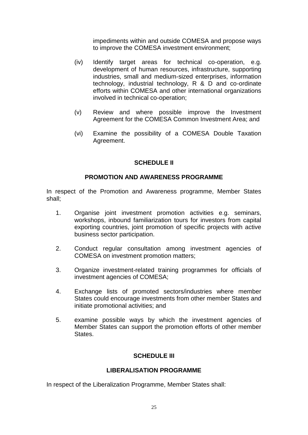impediments within and outside COMESA and propose ways to improve the COMESA investment environment;

- (iv) Identify target areas for technical co-operation, e.g. development of human resources, infrastructure, supporting industries, small and medium-sized enterprises, information technology, industrial technology, R & D and co-ordinate efforts within COMESA and other international organizations involved in technical co-operation;
- (v) Review and where possible improve the Investment Agreement for the COMESA Common Investment Area; and
- (vi) Examine the possibility of a COMESA Double Taxation Agreement.

#### **SCHEDULE II**

#### **PROMOTION AND AWARENESS PROGRAMME**

In respect of the Promotion and Awareness programme, Member States shall;

- 1. Organise joint investment promotion activities e.g. seminars, workshops, inbound familiarization tours for investors from capital exporting countries, joint promotion of specific projects with active business sector participation.
- 2. Conduct regular consultation among investment agencies of COMESA on investment promotion matters;
- 3. Organize investment-related training programmes for officials of investment agencies of COMESA;
- 4. Exchange lists of promoted sectors/industries where member States could encourage investments from other member States and initiate promotional activities; and
- 5. examine possible ways by which the investment agencies of Member States can support the promotion efforts of other member **States**

#### **SCHEDULE III**

#### **LIBERALISATION PROGRAMME**

In respect of the Liberalization Programme, Member States shall: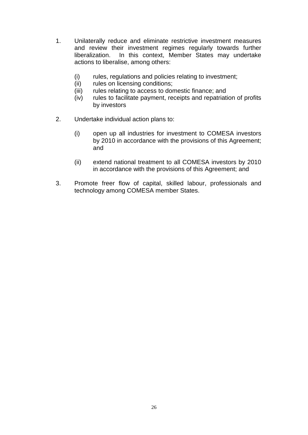- 1. Unilaterally reduce and eliminate restrictive investment measures and review their investment regimes regularly towards further liberalization. In this context, Member States may undertake actions to liberalise, among others:
	- (i) rules, regulations and policies relating to investment;
	- (ii) rules on licensing conditions;
	- (iii) rules relating to access to domestic finance; and
	- (iv) rules to facilitate payment, receipts and repatriation of profits by investors
- 2. Undertake individual action plans to:
	- (i) open up all industries for investment to COMESA investors by 2010 in accordance with the provisions of this Agreement; and
	- (ii) extend national treatment to all COMESA investors by 2010 in accordance with the provisions of this Agreement; and
- 3. Promote freer flow of capital, skilled labour, professionals and technology among COMESA member States.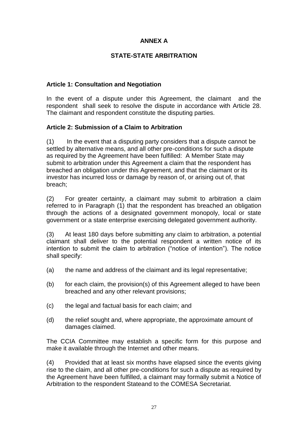# **ANNEX A**

## **STATE-STATE ARBITRATION**

### **Article 1: Consultation and Negotiation**

In the event of a dispute under this Agreement, the claimant and the respondent shall seek to resolve the dispute in accordance with Article 28. The claimant and respondent constitute the disputing parties.

## **Article 2: Submission of a Claim to Arbitration**

(1) In the event that a disputing party considers that a dispute cannot be settled by alternative means, and all other pre-conditions for such a dispute as required by the Agreement have been fulfilled: A Member State may submit to arbitration under this Agreement a claim that the respondent has breached an obligation under this Agreement, and that the claimant or its investor has incurred loss or damage by reason of, or arising out of, that breach;

(2) For greater certainty, a claimant may submit to arbitration a claim referred to in Paragraph (1) that the respondent has breached an obligation through the actions of a designated government monopoly, local or state government or a state enterprise exercising delegated government authority.

(3) At least 180 days before submitting any claim to arbitration, a potential claimant shall deliver to the potential respondent a written notice of its intention to submit the claim to arbitration ("notice of intention"). The notice shall specify:

- (a) the name and address of the claimant and its legal representative;
- (b) for each claim, the provision(s) of this Agreement alleged to have been breached and any other relevant provisions;
- (c) the legal and factual basis for each claim; and
- (d) the relief sought and, where appropriate, the approximate amount of damages claimed.

The CCIA Committee may establish a specific form for this purpose and make it available through the Internet and other means.

(4) Provided that at least six months have elapsed since the events giving rise to the claim, and all other pre-conditions for such a dispute as required by the Agreement have been fulfilled, a claimant may formally submit a Notice of Arbitration to the respondent Stateand to the COMESA Secretariat.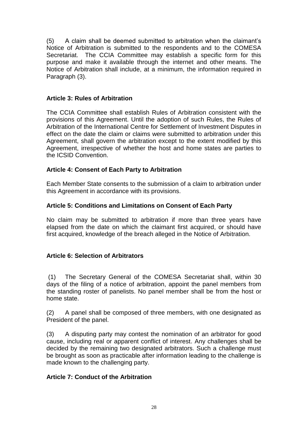(5) A claim shall be deemed submitted to arbitration when the claimant's Notice of Arbitration is submitted to the respondents and to the COMESA Secretariat. The CCIA Committee may establish a specific form for this purpose and make it available through the internet and other means. The Notice of Arbitration shall include, at a minimum, the information required in Paragraph (3).

## **Article 3: Rules of Arbitration**

The CCIA Committee shall establish Rules of Arbitration consistent with the provisions of this Agreement. Until the adoption of such Rules, the Rules of Arbitration of the International Centre for Settlement of Investment Disputes in effect on the date the claim or claims were submitted to arbitration under this Agreement, shall govern the arbitration except to the extent modified by this Agreement, irrespective of whether the host and home states are parties to the ICSID Convention.

# **Article 4: Consent of Each Party to Arbitration**

Each Member State consents to the submission of a claim to arbitration under this Agreement in accordance with its provisions.

# **Article 5: Conditions and Limitations on Consent of Each Party**

No claim may be submitted to arbitration if more than three years have elapsed from the date on which the claimant first acquired, or should have first acquired, knowledge of the breach alleged in the Notice of Arbitration.

# **Article 6: Selection of Arbitrators**

(1) The Secretary General of the COMESA Secretariat shall, within 30 days of the filing of a notice of arbitration, appoint the panel members from the standing roster of panelists. No panel member shall be from the host or home state.

(2) A panel shall be composed of three members, with one designated as President of the panel.

(3) A disputing party may contest the nomination of an arbitrator for good cause, including real or apparent conflict of interest. Any challenges shall be decided by the remaining two designated arbitrators. Such a challenge must be brought as soon as practicable after information leading to the challenge is made known to the challenging party.

# **Article 7: Conduct of the Arbitration**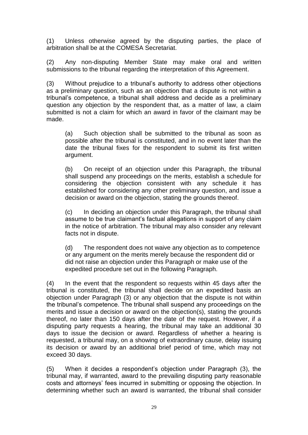(1) Unless otherwise agreed by the disputing parties, the place of arbitration shall be at the COMESA Secretariat.

(2) Any non-disputing Member State may make oral and written submissions to the tribunal regarding the interpretation of this Agreement.

(3) Without prejudice to a tribunal's authority to address other objections as a preliminary question, such as an objection that a dispute is not within a tribunal's competence, a tribunal shall address and decide as a preliminary question any objection by the respondent that, as a matter of law, a claim submitted is not a claim for which an award in favor of the claimant may be made.

(a) Such objection shall be submitted to the tribunal as soon as possible after the tribunal is constituted, and in no event later than the date the tribunal fixes for the respondent to submit its first written argument.

(b) On receipt of an objection under this Paragraph, the tribunal shall suspend any proceedings on the merits, establish a schedule for considering the objection consistent with any schedule it has established for considering any other preliminary question, and issue a decision or award on the objection, stating the grounds thereof.

(c) In deciding an objection under this Paragraph, the tribunal shall assume to be true claimant's factual allegations in support of any claim in the notice of arbitration. The tribunal may also consider any relevant facts not in dispute.

(d) The respondent does not waive any objection as to competence or any argument on the merits merely because the respondent did or did not raise an objection under this Paragraph or make use of the expedited procedure set out in the following Paragraph.

(4) In the event that the respondent so requests within 45 days after the tribunal is constituted, the tribunal shall decide on an expedited basis an objection under Paragraph (3) or any objection that the dispute is not within the tribunal's competence. The tribunal shall suspend any proceedings on the merits and issue a decision or award on the objection(s), stating the grounds thereof, no later than 150 days after the date of the request. However, if a disputing party requests a hearing, the tribunal may take an additional 30 days to issue the decision or award. Regardless of whether a hearing is requested, a tribunal may, on a showing of extraordinary cause, delay issuing its decision or award by an additional brief period of time, which may not exceed 30 days.

(5) When it decides a respondent's objection under Paragraph (3), the tribunal may, if warranted, award to the prevailing disputing party reasonable costs and attorneys' fees incurred in submitting or opposing the objection. In determining whether such an award is warranted, the tribunal shall consider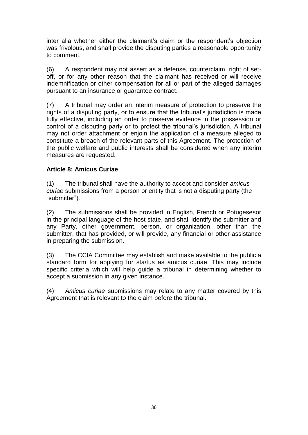inter alia whether either the claimant's claim or the respondent's objection was frivolous, and shall provide the disputing parties a reasonable opportunity to comment.

(6) A respondent may not assert as a defense, counterclaim, right of setoff, or for any other reason that the claimant has received or will receive indemnification or other compensation for all or part of the alleged damages pursuant to an insurance or guarantee contract.

(7) A tribunal may order an interim measure of protection to preserve the rights of a disputing party, or to ensure that the tribunal's jurisdiction is made fully effective, including an order to preserve evidence in the possession or control of a disputing party or to protect the tribunal's jurisdiction. A tribunal may not order attachment or enjoin the application of a measure alleged to constitute a breach of the relevant parts of this Agreement. The protection of the public welfare and public interests shall be considered when any interim measures are requested.

# **Article 8: Amicus Curiae**

(1) The tribunal shall have the authority to accept and consider *amicus curiae* submissions from a person or entity that is not a disputing party (the "submitter").

(2) The submissions shall be provided in English, French or Potugesesor in the principal language of the host state, and shall identify the submitter and any Party, other government, person, or organization, other than the submitter, that has provided, or will provide, any financial or other assistance in preparing the submission.

(3) The CCIA Committee may establish and make available to the public a standard form for applying for sta/tus as amicus curiae. This may include specific criteria which will help guide a tribunal in determining whether to accept a submission in any given instance.

(4) *Amicus curiae* submissions may relate to any matter covered by this Agreement that is relevant to the claim before the tribunal.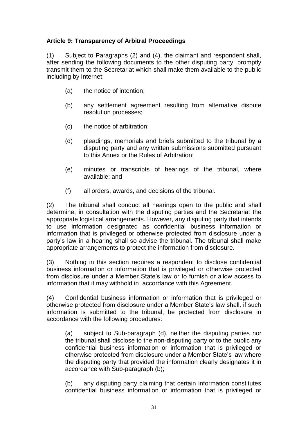# **Article 9: Transparency of Arbitral Proceedings**

(1) Subject to Paragraphs (2) and (4), the claimant and respondent shall, after sending the following documents to the other disputing party, promptly transmit them to the Secretariat which shall make them available to the public including by Internet:

- (a) the notice of intention;
- (b) any settlement agreement resulting from alternative dispute resolution processes;
- (c) the notice of arbitration;
- (d) pleadings, memorials and briefs submitted to the tribunal by a disputing party and any written submissions submitted pursuant to this Annex or the Rules of Arbitration;
- (e) minutes or transcripts of hearings of the tribunal, where available; and
- (f) all orders, awards, and decisions of the tribunal.

(2) The tribunal shall conduct all hearings open to the public and shall determine, in consultation with the disputing parties and the Secretariat the appropriate logistical arrangements. However, any disputing party that intends to use information designated as confidential business information or information that is privileged or otherwise protected from disclosure under a party's law in a hearing shall so advise the tribunal. The tribunal shall make appropriate arrangements to protect the information from disclosure.

(3) Nothing in this section requires a respondent to disclose confidential business information or information that is privileged or otherwise protected from disclosure under a Member State's law or to furnish or allow access to information that it may withhold in accordance with this Agreement.

(4) Confidential business information or information that is privileged or otherwise protected from disclosure under a Member State's law shall, if such information is submitted to the tribunal, be protected from disclosure in accordance with the following procedures:

(a) subject to Sub-paragraph (d), neither the disputing parties nor the tribunal shall disclose to the non-disputing party or to the public any confidential business information or information that is privileged or otherwise protected from disclosure under a Member State's law where the disputing party that provided the information clearly designates it in accordance with Sub-paragraph (b);

(b) any disputing party claiming that certain information constitutes confidential business information or information that is privileged or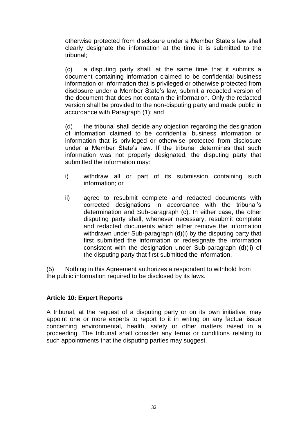otherwise protected from disclosure under a Member State's law shall clearly designate the information at the time it is submitted to the tribunal;

(c) a disputing party shall, at the same time that it submits a document containing information claimed to be confidential business information or information that is privileged or otherwise protected from disclosure under a Member State's law, submit a redacted version of the document that does not contain the information. Only the redacted version shall be provided to the non-disputing party and made public in accordance with Paragraph (1); and

(d) the tribunal shall decide any objection regarding the designation of information claimed to be confidential business information or information that is privileged or otherwise protected from disclosure under a Member State's law. If the tribunal determines that such information was not properly designated, the disputing party that submitted the information may:

- i) withdraw all or part of its submission containing such information; or
- ii) agree to resubmit complete and redacted documents with corrected designations in accordance with the tribunal's determination and Sub-paragraph (c). In either case, the other disputing party shall, whenever necessary, resubmit complete and redacted documents which either remove the information withdrawn under Sub-paragraph (d)(i) by the disputing party that first submitted the information or redesignate the information consistent with the designation under Sub-paragraph (d)(ii) of the disputing party that first submitted the information.

(5) Nothing in this Agreement authorizes a respondent to withhold from the public information required to be disclosed by its laws.

#### **Article 10: Expert Reports**

A tribunal, at the request of a disputing party or on its own initiative, may appoint one or more experts to report to it in writing on any factual issue concerning environmental, health, safety or other matters raised in a proceeding. The tribunal shall consider any terms or conditions relating to such appointments that the disputing parties may suggest.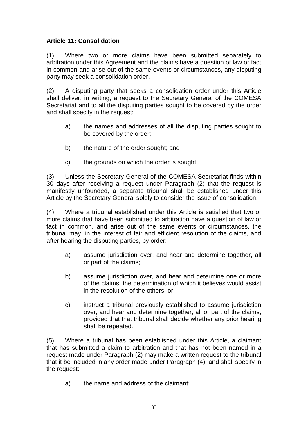# **Article 11: Consolidation**

(1) Where two or more claims have been submitted separately to arbitration under this Agreement and the claims have a question of law or fact in common and arise out of the same events or circumstances, any disputing party may seek a consolidation order.

(2) A disputing party that seeks a consolidation order under this Article shall deliver, in writing, a request to the Secretary General of the COMESA Secretariat and to all the disputing parties sought to be covered by the order and shall specify in the request:

- a) the names and addresses of all the disputing parties sought to be covered by the order;
- b) the nature of the order sought; and
- c) the grounds on which the order is sought.

(3) Unless the Secretary General of the COMESA Secretariat finds within 30 days after receiving a request under Paragraph (2) that the request is manifestly unfounded, a separate tribunal shall be established under this Article by the Secretary General solely to consider the issue of consolidation.

(4) Where a tribunal established under this Article is satisfied that two or more claims that have been submitted to arbitration have a question of law or fact in common, and arise out of the same events or circumstances, the tribunal may, in the interest of fair and efficient resolution of the claims, and after hearing the disputing parties, by order:

- a) assume jurisdiction over, and hear and determine together, all or part of the claims;
- b) assume jurisdiction over, and hear and determine one or more of the claims, the determination of which it believes would assist in the resolution of the others; or
- c) instruct a tribunal previously established to assume jurisdiction over, and hear and determine together, all or part of the claims, provided that that tribunal shall decide whether any prior hearing shall be repeated.

(5) Where a tribunal has been established under this Article, a claimant that has submitted a claim to arbitration and that has not been named in a request made under Paragraph (2) may make a written request to the tribunal that it be included in any order made under Paragraph (4), and shall specify in the request:

a) the name and address of the claimant;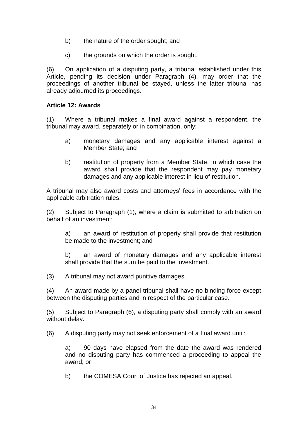- b) the nature of the order sought; and
- c) the grounds on which the order is sought.

(6) On application of a disputing party, a tribunal established under this Article, pending its decision under Paragraph (4), may order that the proceedings of another tribunal be stayed, unless the latter tribunal has already adjourned its proceedings.

#### **Article 12: Awards**

(1) Where a tribunal makes a final award against a respondent, the tribunal may award, separately or in combination, only:

- a) monetary damages and any applicable interest against a Member State; and
- b) restitution of property from a Member State, in which case the award shall provide that the respondent may pay monetary damages and any applicable interest in lieu of restitution.

A tribunal may also award costs and attorneys' fees in accordance with the applicable arbitration rules.

(2) Subject to Paragraph (1), where a claim is submitted to arbitration on behalf of an investment:

a) an award of restitution of property shall provide that restitution be made to the investment; and

b) an award of monetary damages and any applicable interest shall provide that the sum be paid to the investment.

(3) A tribunal may not award punitive damages.

(4) An award made by a panel tribunal shall have no binding force except between the disputing parties and in respect of the particular case.

(5) Subject to Paragraph (6), a disputing party shall comply with an award without delay.

(6) A disputing party may not seek enforcement of a final award until:

a) 90 days have elapsed from the date the award was rendered and no disputing party has commenced a proceeding to appeal the award; or

b) the COMESA Court of Justice has rejected an appeal.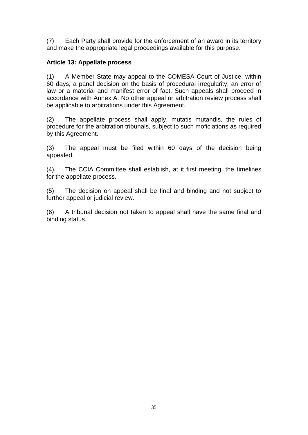(7) Each Party shall provide for the enforcement of an award in its territory and make the appropriate legal proceedings available for this purpose.

## **Article 13: Appellate process**

(1) A Member State may appeal to the COMESA Court of Justice, within 60 days, a panel decision on the basis of procedural irregularity, an error of law or a material and manifest error of fact. Such appeals shall proceed in accordance with Annex A. No other appeal or arbitration review process shall be applicable to arbitrations under this Agreement.

(2) The appellate process shall apply, mutatis mutandis, the rules of procedure for the arbitration tribunals, subject to such moficiations as required by this Agreement.

(3) The appeal must be filed within 60 days of the decision being appealed.

(4) The CCIA Committee shall establish, at it first meeting, the timelines for the appellate process.

(5) The decision on appeal shall be final and binding and not subject to further appeal or judicial review.

(6) A tribunal decision not taken to appeal shall have the same final and binding status.